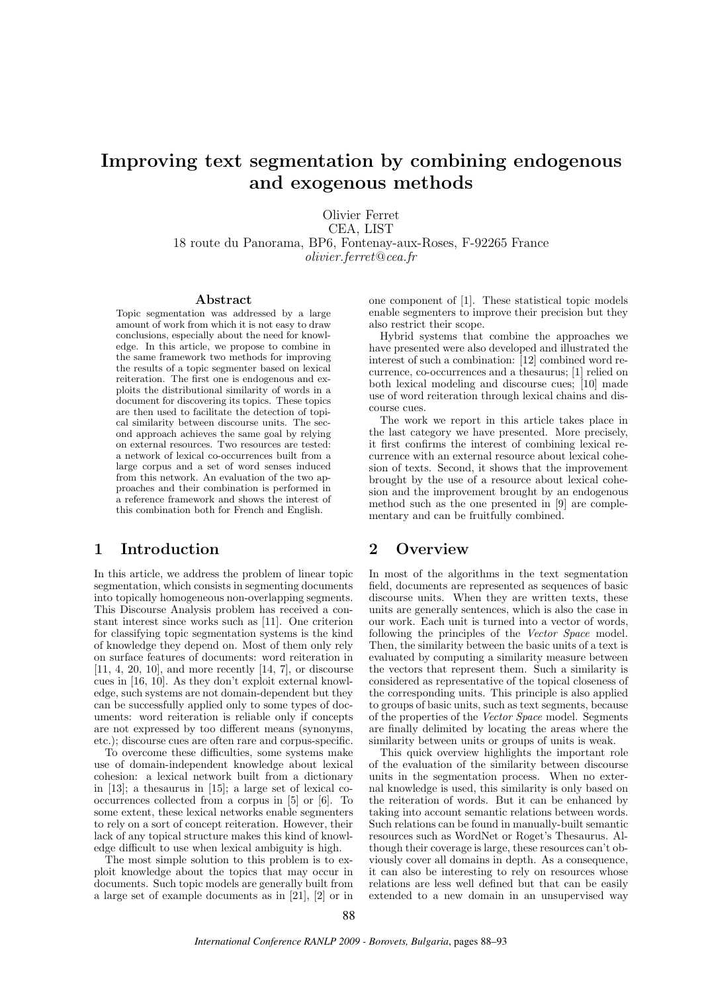# Improving text segmentation by combining endogenous and exogenous methods

Olivier Ferret CEA, LIST 18 route du Panorama, BP6, Fontenay-aux-Roses, F-92265 France olivier.ferret@cea.fr

#### Abstract

Topic segmentation was addressed by a large amount of work from which it is not easy to draw conclusions, especially about the need for knowledge. In this article, we propose to combine in the same framework two methods for improving the results of a topic segmenter based on lexical reiteration. The first one is endogenous and exploits the distributional similarity of words in a document for discovering its topics. These topics are then used to facilitate the detection of topical similarity between discourse units. The second approach achieves the same goal by relying on external resources. Two resources are tested: a network of lexical co-occurrences built from a large corpus and a set of word senses induced from this network. An evaluation of the two approaches and their combination is performed in a reference framework and shows the interest of this combination both for French and English.

## 1 Introduction

In this article, we address the problem of linear topic segmentation, which consists in segmenting documents into topically homogeneous non-overlapping segments. This Discourse Analysis problem has received a constant interest since works such as [11]. One criterion for classifying topic segmentation systems is the kind of knowledge they depend on. Most of them only rely on surface features of documents: word reiteration in [11, 4, 20, 10], and more recently [14, 7], or discourse cues in [16, 10]. As they don't exploit external knowledge, such systems are not domain-dependent but they can be successfully applied only to some types of documents: word reiteration is reliable only if concepts are not expressed by too different means (synonyms, etc.); discourse cues are often rare and corpus-specific.

To overcome these difficulties, some systems make use of domain-independent knowledge about lexical cohesion: a lexical network built from a dictionary in [13]; a thesaurus in [15]; a large set of lexical cooccurrences collected from a corpus in [5] or [6]. To some extent, these lexical networks enable segmenters to rely on a sort of concept reiteration. However, their lack of any topical structure makes this kind of knowledge difficult to use when lexical ambiguity is high.

The most simple solution to this problem is to exploit knowledge about the topics that may occur in documents. Such topic models are generally built from a large set of example documents as in [21], [2] or in one component of [1]. These statistical topic models enable segmenters to improve their precision but they also restrict their scope.

Hybrid systems that combine the approaches we have presented were also developed and illustrated the interest of such a combination: [12] combined word recurrence, co-occurrences and a thesaurus; [1] relied on both lexical modeling and discourse cues; [10] made use of word reiteration through lexical chains and discourse cues.

The work we report in this article takes place in the last category we have presented. More precisely, it first confirms the interest of combining lexical recurrence with an external resource about lexical cohesion of texts. Second, it shows that the improvement brought by the use of a resource about lexical cohesion and the improvement brought by an endogenous method such as the one presented in [9] are complementary and can be fruitfully combined.

## 2 Overview

In most of the algorithms in the text segmentation field, documents are represented as sequences of basic discourse units. When they are written texts, these units are generally sentences, which is also the case in our work. Each unit is turned into a vector of words, following the principles of the Vector Space model. Then, the similarity between the basic units of a text is evaluated by computing a similarity measure between the vectors that represent them. Such a similarity is considered as representative of the topical closeness of the corresponding units. This principle is also applied to groups of basic units, such as text segments, because of the properties of the Vector Space model. Segments are finally delimited by locating the areas where the similarity between units or groups of units is weak.

This quick overview highlights the important role of the evaluation of the similarity between discourse units in the segmentation process. When no external knowledge is used, this similarity is only based on the reiteration of words. But it can be enhanced by taking into account semantic relations between words. Such relations can be found in manually-built semantic resources such as WordNet or Roget's Thesaurus. Although their coverage is large, these resources can't obviously cover all domains in depth. As a consequence, it can also be interesting to rely on resources whose relations are less well defined but that can be easily extended to a new domain in an unsupervised way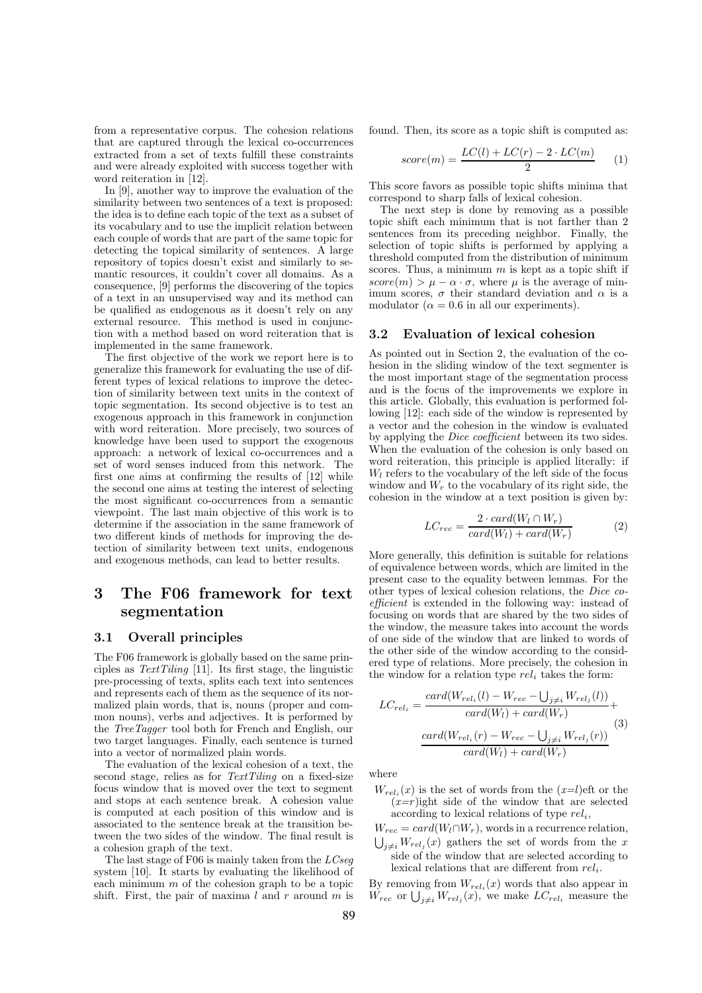from a representative corpus. The cohesion relations that are captured through the lexical co-occurrences extracted from a set of texts fulfill these constraints and were already exploited with success together with word reiteration in [12].

In [9], another way to improve the evaluation of the similarity between two sentences of a text is proposed: the idea is to define each topic of the text as a subset of its vocabulary and to use the implicit relation between each couple of words that are part of the same topic for detecting the topical similarity of sentences. A large repository of topics doesn't exist and similarly to semantic resources, it couldn't cover all domains. As a consequence, [9] performs the discovering of the topics of a text in an unsupervised way and its method can be qualified as endogenous as it doesn't rely on any external resource. This method is used in conjunction with a method based on word reiteration that is implemented in the same framework.

The first objective of the work we report here is to generalize this framework for evaluating the use of different types of lexical relations to improve the detection of similarity between text units in the context of topic segmentation. Its second objective is to test an exogenous approach in this framework in conjunction with word reiteration. More precisely, two sources of knowledge have been used to support the exogenous approach: a network of lexical co-occurrences and a set of word senses induced from this network. The first one aims at confirming the results of [12] while the second one aims at testing the interest of selecting the most significant co-occurrences from a semantic viewpoint. The last main objective of this work is to determine if the association in the same framework of two different kinds of methods for improving the detection of similarity between text units, endogenous and exogenous methods, can lead to better results.

## 3 The F06 framework for text segmentation

#### 3.1 Overall principles

The F06 framework is globally based on the same principles as  $TextTiling$  [11]. Its first stage, the linguistic pre-processing of texts, splits each text into sentences and represents each of them as the sequence of its normalized plain words, that is, nouns (proper and common nouns), verbs and adjectives. It is performed by the TreeTagger tool both for French and English, our two target languages. Finally, each sentence is turned into a vector of normalized plain words.

The evaluation of the lexical cohesion of a text, the second stage, relies as for TextTiling on a fixed-size focus window that is moved over the text to segment and stops at each sentence break. A cohesion value is computed at each position of this window and is associated to the sentence break at the transition between the two sides of the window. The final result is a cohesion graph of the text.

The last stage of F06 is mainly taken from the  $LCseq$ system [10]. It starts by evaluating the likelihood of each minimum  $m$  of the cohesion graph to be a topic shift. First, the pair of maxima  $l$  and  $r$  around  $m$  is

found. Then, its score as a topic shift is computed as:

$$
score(m) = \frac{LC(l) + LC(r) - 2 \cdot LC(m)}{2} \tag{1}
$$

This score favors as possible topic shifts minima that correspond to sharp falls of lexical cohesion.

The next step is done by removing as a possible topic shift each minimum that is not farther than 2 sentences from its preceding neighbor. Finally, the selection of topic shifts is performed by applying a threshold computed from the distribution of minimum scores. Thus, a minimum  $m$  is kept as a topic shift if  $score(m) > \mu - \alpha \cdot \sigma$ , where  $\mu$  is the average of minimum scores,  $\sigma$  their standard deviation and  $\alpha$  is a modulator ( $\alpha = 0.6$  in all our experiments).

#### 3.2 Evaluation of lexical cohesion

As pointed out in Section 2, the evaluation of the cohesion in the sliding window of the text segmenter is the most important stage of the segmentation process and is the focus of the improvements we explore in this article. Globally, this evaluation is performed following [12]: each side of the window is represented by a vector and the cohesion in the window is evaluated by applying the Dice coefficient between its two sides. When the evaluation of the cohesion is only based on word reiteration, this principle is applied literally: if  $W_l$  refers to the vocabulary of the left side of the focus window and  $W_r$  to the vocabulary of its right side, the cohesion in the window at a text position is given by:

$$
LC_{rec} = \frac{2 \cdot card(W_l \cap W_r)}{card(W_l) + card(W_r)}
$$
(2)

More generally, this definition is suitable for relations of equivalence between words, which are limited in the present case to the equality between lemmas. For the other types of lexical cohesion relations, the Dice coefficient is extended in the following way: instead of focusing on words that are shared by the two sides of the window, the measure takes into account the words of one side of the window that are linked to words of the other side of the window according to the considered type of relations. More precisely, the cohesion in the window for a relation type  $rel_i$  takes the form:

$$
LC_{rel_i} = \frac{card(W_{rel_i}(l) - W_{rec} - \bigcup_{j \neq i} W_{rel_j}(l))}{card(W_l) + card(W_r)} + \frac{card(W_{rel_i}(r) - W_{rec} - \bigcup_{j \neq i} W_{rel_j}(r))}{card(W_l) + card(W_r)} \tag{3}
$$

where

- $W_{rel_i}(x)$  is the set of words from the  $(x=l)$ eft or the  $(x=r)$ ight side of the window that are selected according to lexical relations of type  $rel_i$ ,
- $W_{rec} = card(W_l \cap W_r)$ , words in a recurrence relation,  $\bigcup_{j\neq i} W_{rel_j}(x)$  gathers the set of words from the x side of the window that are selected according to lexical relations that are different from  $rel_i$ .

By removing from  $W_{rel_i}(x)$  words that also appear in  $\tilde{W}_{rec}$  or  $\bigcup_{j\neq i} W_{rel_j}(x)$ , we make  $LC_{rel_i}$  measure the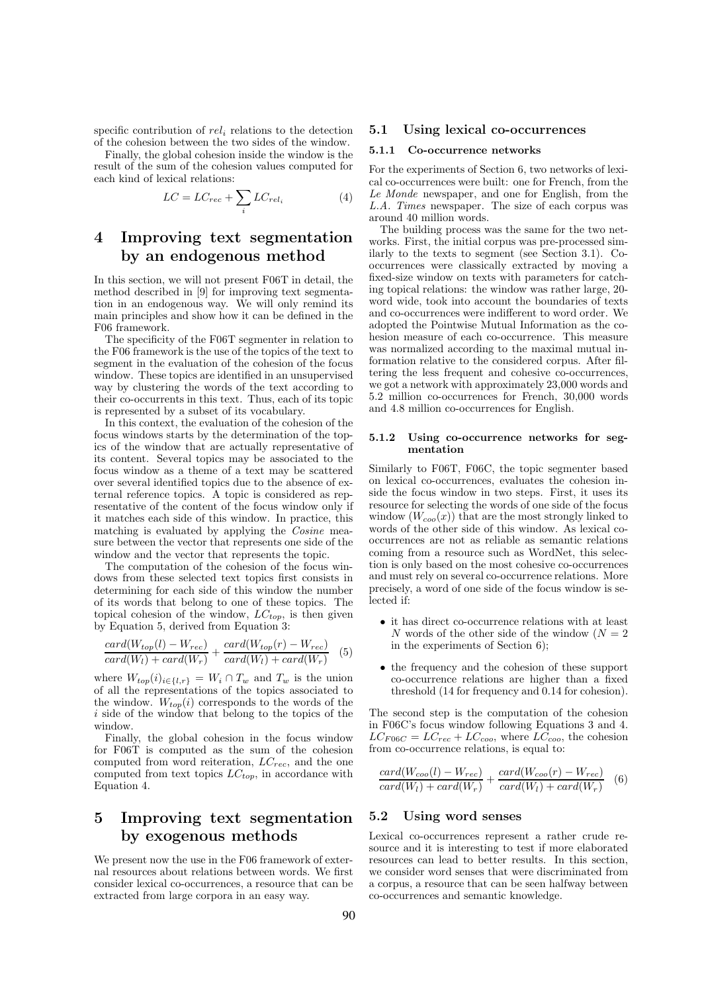specific contribution of  $rel_i$  relations to the detection of the cohesion between the two sides of the window.

Finally, the global cohesion inside the window is the result of the sum of the cohesion values computed for each kind of lexical relations:

$$
LC = LC_{rec} + \sum_{i} LC_{rel_i}
$$
 (4)

## 4 Improving text segmentation by an endogenous method

In this section, we will not present F06T in detail, the method described in [9] for improving text segmentation in an endogenous way. We will only remind its main principles and show how it can be defined in the F06 framework.

The specificity of the F06T segmenter in relation to the F06 framework is the use of the topics of the text to segment in the evaluation of the cohesion of the focus window. These topics are identified in an unsupervised way by clustering the words of the text according to their co-occurrents in this text. Thus, each of its topic is represented by a subset of its vocabulary.

In this context, the evaluation of the cohesion of the focus windows starts by the determination of the topics of the window that are actually representative of its content. Several topics may be associated to the focus window as a theme of a text may be scattered over several identified topics due to the absence of external reference topics. A topic is considered as representative of the content of the focus window only if it matches each side of this window. In practice, this matching is evaluated by applying the Cosine measure between the vector that represents one side of the window and the vector that represents the topic.

The computation of the cohesion of the focus windows from these selected text topics first consists in determining for each side of this window the number of its words that belong to one of these topics. The topical cohesion of the window,  $LC_{top}$ , is then given by Equation 5, derived from Equation 3:

$$
\frac{card(W_{top}(l) - W_{rec})}{card(W_l) + card(W_r)} + \frac{card(W_{top}(r) - W_{rec})}{card(W_l) + card(W_r)} \tag{5}
$$

where  $W_{top}(i)_{i\in\{l,r\}} = W_i \cap T_w$  and  $T_w$  is the union of all the representations of the topics associated to the window.  $W_{top}(i)$  corresponds to the words of the i side of the window that belong to the topics of the window.

Finally, the global cohesion in the focus window for F06T is computed as the sum of the cohesion computed from word reiteration,  $LC_{rec}$ , and the one computed from text topics  $LC_{top}$ , in accordance with Equation 4.

## 5 Improving text segmentation by exogenous methods

We present now the use in the F06 framework of external resources about relations between words. We first consider lexical co-occurrences, a resource that can be extracted from large corpora in an easy way.

#### 5.1 Using lexical co-occurrences

#### 5.1.1 Co-occurrence networks

For the experiments of Section 6, two networks of lexical co-occurrences were built: one for French, from the Le Monde newspaper, and one for English, from the L.A. Times newspaper. The size of each corpus was around 40 million words.

The building process was the same for the two networks. First, the initial corpus was pre-processed similarly to the texts to segment (see Section 3.1). Cooccurrences were classically extracted by moving a fixed-size window on texts with parameters for catching topical relations: the window was rather large, 20 word wide, took into account the boundaries of texts and co-occurrences were indifferent to word order. We adopted the Pointwise Mutual Information as the cohesion measure of each co-occurrence. This measure was normalized according to the maximal mutual information relative to the considered corpus. After filtering the less frequent and cohesive co-occurrences, we got a network with approximately 23,000 words and 5.2 million co-occurrences for French, 30,000 words and 4.8 million co-occurrences for English.

#### 5.1.2 Using co-occurrence networks for segmentation

Similarly to F06T, F06C, the topic segmenter based on lexical co-occurrences, evaluates the cohesion inside the focus window in two steps. First, it uses its resource for selecting the words of one side of the focus window  $(W_{\text{co}}(x))$  that are the most strongly linked to words of the other side of this window. As lexical cooccurrences are not as reliable as semantic relations coming from a resource such as WordNet, this selection is only based on the most cohesive co-occurrences and must rely on several co-occurrence relations. More precisely, a word of one side of the focus window is selected if:

- it has direct co-occurrence relations with at least N words of the other side of the window  $(N = 2)$ in the experiments of Section 6);
- the frequency and the cohesion of these support co-occurrence relations are higher than a fixed threshold (14 for frequency and 0.14 for cohesion).

The second step is the computation of the cohesion in F06C's focus window following Equations 3 and 4.  $LC_{F06C} = LC_{rec} + LC_{coo}$ , where  $LC_{coo}$ , the cohesion from co-occurrence relations, is equal to:

$$
\frac{card(W_{coo}(l) - W_{rec})}{card(W_l) + card(W_r)} + \frac{card(W_{coo}(r) - W_{rec})}{card(W_l) + card(W_r)} \quad (6)
$$

#### 5.2 Using word senses

Lexical co-occurrences represent a rather crude resource and it is interesting to test if more elaborated resources can lead to better results. In this section, we consider word senses that were discriminated from a corpus, a resource that can be seen halfway between co-occurrences and semantic knowledge.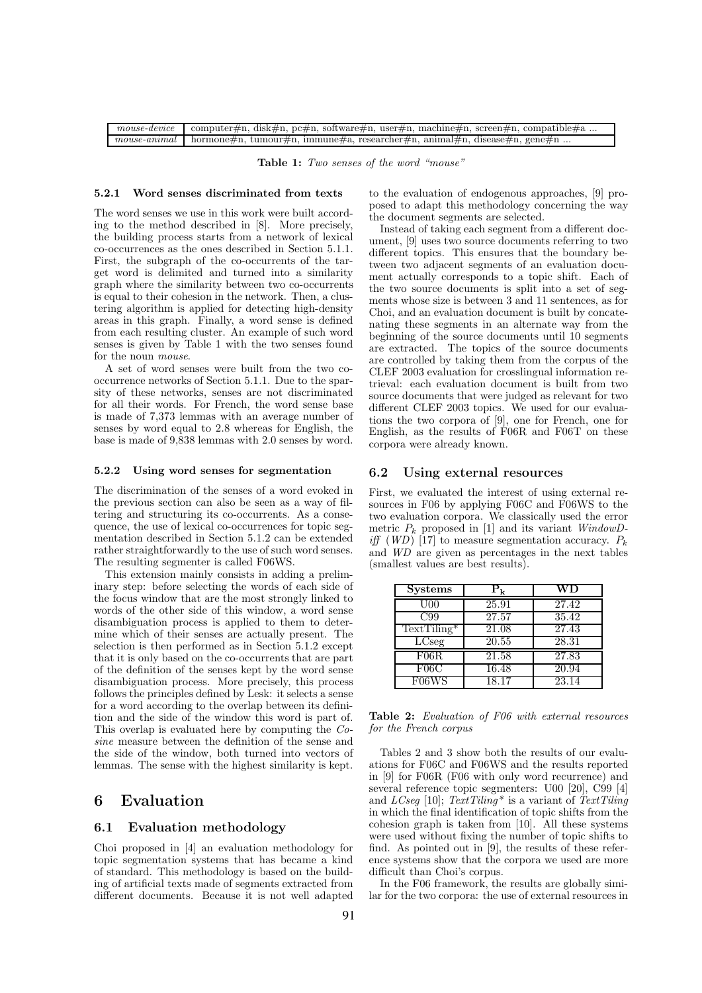| mouse-device computer#n, disk#n, pc#n, software#n, user#n, machine#n, screen#n, compatible#a |
|----------------------------------------------------------------------------------------------|
| mouse-animal   hormone#n, tumour#n, immune#a, researcher#n, animal#n, disease#n, gene#n      |

Table 1: Two senses of the word "mouse"

#### 5.2.1 Word senses discriminated from texts

The word senses we use in this work were built according to the method described in [8]. More precisely, the building process starts from a network of lexical co-occurrences as the ones described in Section 5.1.1. First, the subgraph of the co-occurrents of the target word is delimited and turned into a similarity graph where the similarity between two co-occurrents is equal to their cohesion in the network. Then, a clustering algorithm is applied for detecting high-density areas in this graph. Finally, a word sense is defined from each resulting cluster. An example of such word senses is given by Table 1 with the two senses found for the noun mouse.

A set of word senses were built from the two cooccurrence networks of Section 5.1.1. Due to the sparsity of these networks, senses are not discriminated for all their words. For French, the word sense base is made of 7,373 lemmas with an average number of senses by word equal to 2.8 whereas for English, the base is made of 9,838 lemmas with 2.0 senses by word.

#### 5.2.2 Using word senses for segmentation

The discrimination of the senses of a word evoked in the previous section can also be seen as a way of filtering and structuring its co-occurrents. As a consequence, the use of lexical co-occurrences for topic segmentation described in Section 5.1.2 can be extended rather straightforwardly to the use of such word senses. The resulting segmenter is called F06WS.

This extension mainly consists in adding a preliminary step: before selecting the words of each side of the focus window that are the most strongly linked to words of the other side of this window, a word sense disambiguation process is applied to them to determine which of their senses are actually present. The selection is then performed as in Section 5.1.2 except that it is only based on the co-occurrents that are part of the definition of the senses kept by the word sense disambiguation process. More precisely, this process follows the principles defined by Lesk: it selects a sense for a word according to the overlap between its definition and the side of the window this word is part of. This overlap is evaluated here by computing the Cosine measure between the definition of the sense and the side of the window, both turned into vectors of lemmas. The sense with the highest similarity is kept.

### 6 Evaluation

#### 6.1 Evaluation methodology

Choi proposed in [4] an evaluation methodology for topic segmentation systems that has became a kind of standard. This methodology is based on the building of artificial texts made of segments extracted from different documents. Because it is not well adapted to the evaluation of endogenous approaches, [9] proposed to adapt this methodology concerning the way the document segments are selected.

Instead of taking each segment from a different document, [9] uses two source documents referring to two different topics. This ensures that the boundary between two adjacent segments of an evaluation document actually corresponds to a topic shift. Each of the two source documents is split into a set of segments whose size is between 3 and 11 sentences, as for Choi, and an evaluation document is built by concatenating these segments in an alternate way from the beginning of the source documents until 10 segments are extracted. The topics of the source documents are controlled by taking them from the corpus of the CLEF 2003 evaluation for crosslingual information retrieval: each evaluation document is built from two source documents that were judged as relevant for two different CLEF 2003 topics. We used for our evaluations the two corpora of [9], one for French, one for English, as the results of F06R and F06T on these corpora were already known.

#### 6.2 Using external resources

First, we evaluated the interest of using external resources in F06 by applying F06C and F06WS to the two evaluation corpora. We classically used the error metric  $P_k$  proposed in [1] and its variant WindowD*iff* (*WD*) [17] to measure segmentation accuracy.  $P_k$ and WD are given as percentages in the next tables (smallest values are best results).

| <b>Systems</b> | $P_{k}$            | WD    |
|----------------|--------------------|-------|
| $\rm U00$      | 25.91              | 27.42 |
| C99            | 27.57              | 35.42 |
| $TextTiling*$  | 21.08              | 27.43 |
| LCseg          | 20.55              | 28.31 |
| F06R           | $\overline{21.58}$ | 27.83 |
| F06C           | 16.48              | 20.94 |
| F06WS          | 18.17              | 23.14 |

Table 2: Evaluation of F06 with external resources for the French corpus

Tables 2 and 3 show both the results of our evaluations for F06C and F06WS and the results reported in [9] for F06R (F06 with only word recurrence) and several reference topic segmenters: U00 [20], C99 [4] and LCseq [10];  $TextTiling^*$  is a variant of  $TextTiling$ in which the final identification of topic shifts from the cohesion graph is taken from [10]. All these systems were used without fixing the number of topic shifts to find. As pointed out in [9], the results of these reference systems show that the corpora we used are more difficult than Choi's corpus.

In the F06 framework, the results are globally similar for the two corpora: the use of external resources in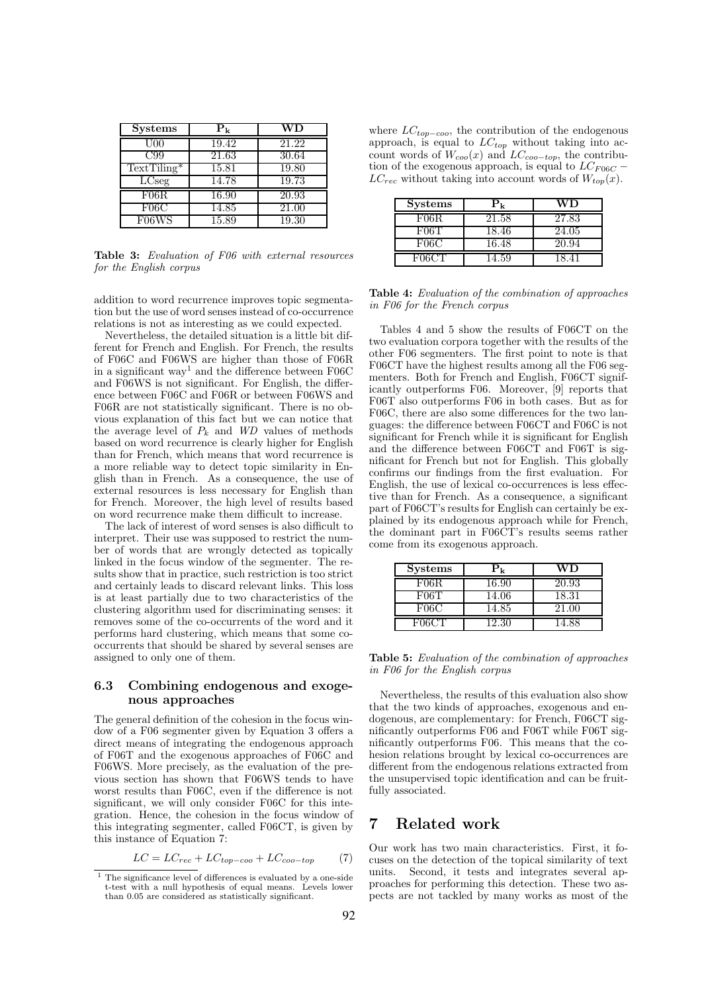| <b>Systems</b> | $P_{k}$ | WD                 |
|----------------|---------|--------------------|
| $_{\rm U00}$   | 19.42   | 21.22              |
| C99            | 21.63   | 30.64              |
| $TextTiling*$  | 15.81   | 19.80              |
| LCseg          | 14.78   | 19.73              |
| F06R           | 16.90   | 20.93              |
| F06C           | 14.85   | $\overline{21.00}$ |
| F06WS          | 15.89   | 19.30              |

Table 3: Evaluation of F06 with external resources for the English corpus

addition to word recurrence improves topic segmentation but the use of word senses instead of co-occurrence relations is not as interesting as we could expected.

Nevertheless, the detailed situation is a little bit different for French and English. For French, the results of F06C and F06WS are higher than those of F06R in a significant way<sup>1</sup> and the difference between  $F06C$ and F06WS is not significant. For English, the difference between F06C and F06R or between F06WS and F06R are not statistically significant. There is no obvious explanation of this fact but we can notice that the average level of  $P_k$  and  $WD$  values of methods based on word recurrence is clearly higher for English than for French, which means that word recurrence is a more reliable way to detect topic similarity in English than in French. As a consequence, the use of external resources is less necessary for English than for French. Moreover, the high level of results based on word recurrence make them difficult to increase.

The lack of interest of word senses is also difficult to interpret. Their use was supposed to restrict the number of words that are wrongly detected as topically linked in the focus window of the segmenter. The results show that in practice, such restriction is too strict and certainly leads to discard relevant links. This loss is at least partially due to two characteristics of the clustering algorithm used for discriminating senses: it removes some of the co-occurrents of the word and it performs hard clustering, which means that some cooccurrents that should be shared by several senses are assigned to only one of them.

#### 6.3 Combining endogenous and exogenous approaches

The general definition of the cohesion in the focus window of a F06 segmenter given by Equation 3 offers a direct means of integrating the endogenous approach of F06T and the exogenous approaches of F06C and F06WS. More precisely, as the evaluation of the previous section has shown that F06WS tends to have worst results than F06C, even if the difference is not significant, we will only consider F06C for this integration. Hence, the cohesion in the focus window of this integrating segmenter, called F06CT, is given by this instance of Equation 7:

$$
LC = LC_{rec} + LC_{top-coo} + LC_{coo-top} \tag{7}
$$

where  $LC_{top-coo}$ , the contribution of the endogenous approach, is equal to  $LC_{top}$  without taking into account words of  $W_{coo}(x)$  and  $LC_{coo-top}$ , the contribution of the exogenous approach, is equal to  $LC_{F06C}$  –  $LC_{rec}$  without taking into account words of  $W_{top}(x)$ .

| <b>Systems</b> |       | VD.   |
|----------------|-------|-------|
| F06R.          | 21.58 | 27.83 |
| F06T           | 18.46 | 24.05 |
| ${\rm F06C}$   | 16.48 | 20.94 |
|                | 4.59  |       |

Table 4: Evaluation of the combination of approaches in F06 for the French corpus

Tables 4 and 5 show the results of F06CT on the two evaluation corpora together with the results of the other F06 segmenters. The first point to note is that F06CT have the highest results among all the F06 segmenters. Both for French and English, F06CT significantly outperforms F06. Moreover, [9] reports that F06T also outperforms F06 in both cases. But as for F06C, there are also some differences for the two languages: the difference between F06CT and F06C is not significant for French while it is significant for English and the difference between F06CT and F06T is significant for French but not for English. This globally confirms our findings from the first evaluation. For English, the use of lexical co-occurrences is less effective than for French. As a consequence, a significant part of F06CT's results for English can certainly be explained by its endogenous approach while for French, the dominant part in F06CT's results seems rather come from its exogenous approach.

| <b>Systems</b> | $\mathbf{P}_{\mathbf{k}}$ | WD    |
|----------------|---------------------------|-------|
| F06R.          | 16.90                     | 20.93 |
| F06T           | 14.06                     | 18.31 |
| F06C           | 14.85                     | 21.00 |
| F06CT          | 12.30                     | 14.88 |

Table 5: Evaluation of the combination of approaches in F06 for the English corpus

Nevertheless, the results of this evaluation also show that the two kinds of approaches, exogenous and endogenous, are complementary: for French, F06CT significantly outperforms F06 and F06T while F06T significantly outperforms F06. This means that the cohesion relations brought by lexical co-occurrences are different from the endogenous relations extracted from the unsupervised topic identification and can be fruitfully associated.

### 7 Related work

Our work has two main characteristics. First, it focuses on the detection of the topical similarity of text units. Second, it tests and integrates several approaches for performing this detection. These two aspects are not tackled by many works as most of the

 $<sup>1</sup>$  The significance level of differences is evaluated by a one-side</sup> t-test with a null hypothesis of equal means. Levels lower than 0.05 are considered as statistically significant.